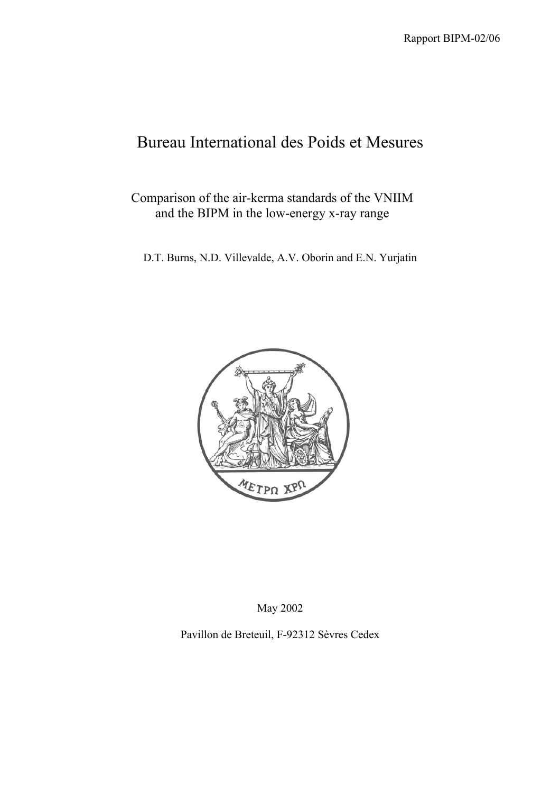# Bureau International des Poids et Mesures

Comparison of the air-kerma standards of the VNIIM and the BIPM in the low-energy x-ray range

D.T. Burns, N.D. Villevalde, A.V. Oborin and E.N. Yurjatin



May 2002

Pavillon de Breteuil, F-92312 Sèvres Cedex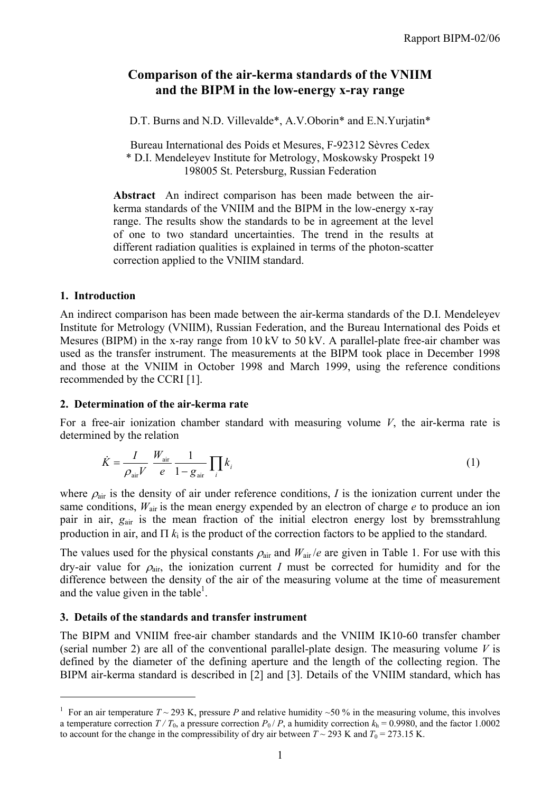## **Comparison of the air-kerma standards of the VNIIM and the BIPM in the low-energy x-ray range**

D.T. Burns and N.D. Villevalde\*, A.V. Oborin\* and E.N. Yuriatin\*

Bureau International des Poids et Mesures, F-92312 Sèvres Cedex \* D.I. Mendeleyev Institute for Metrology, Moskowsky Prospekt 19 198005 St. Petersburg, Russian Federation

**Abstract** An indirect comparison has been made between the airkerma standards of the VNIIM and the BIPM in the low-energy x-ray range. The results show the standards to be in agreement at the level of one to two standard uncertainties. The trend in the results at different radiation qualities is explained in terms of the photon-scatter correction applied to the VNIIM standard.

#### **1. Introduction**

 $\overline{a}$ 

An indirect comparison has been made between the air-kerma standards of the D.I. Mendeleyev Institute for Metrology (VNIIM), Russian Federation, and the Bureau International des Poids et Mesures (BIPM) in the x-ray range from 10 kV to 50 kV. A parallel-plate free-air chamber was used as the transfer instrument. The measurements at the BIPM took place in December 1998 and those at the VNIIM in October 1998 and March 1999, using the reference conditions recommended by the CCRI [1].

### **2. Determination of the air-kerma rate**

For a free-air ionization chamber standard with measuring volume *V*, the air-kerma rate is determined by the relation

$$
\dot{K} = \frac{I}{\rho_{\text{air}} V} \frac{W_{\text{air}}}{e} \frac{1}{1 - g_{\text{air}}} \prod_{i} k_{i}
$$
 (1)

where  $\rho_{\text{air}}$  is the density of air under reference conditions, *I* is the ionization current under the same conditions,  $W_{\text{air}}$  is the mean energy expended by an electron of charge  $e$  to produce an ion pair in air, *g*air is the mean fraction of the initial electron energy lost by bremsstrahlung production in air, and  $\Pi$   $k_i$  is the product of the correction factors to be applied to the standard.

The values used for the physical constants  $\rho_{air}$  and  $W_{air}/e$  are given in Table 1. For use with this dry-air value for  $\rho_{air}$ , the ionization current *I* must be corrected for humidity and for the difference between the density of the air of the measuring volume at the time of measurement and the value given in the table<sup>1</sup>.

### **3. Details of the standards and transfer instrument**

The BIPM and VNIIM free-air chamber standards and the VNIIM IK10-60 transfer chamber (serial number 2) are all of the conventional parallel-plate design. The measuring volume *V* is defined by the diameter of the defining aperture and the length of the collecting region. The BIPM air-kerma standard is described in [2] and [3]. Details of the VNIIM standard, which has

<sup>&</sup>lt;sup>1</sup> For an air temperature  $T \sim 293$  K, pressure *P* and relative humidity  $\sim 50$  % in the measuring volume, this involves a temperature correction  $T/T_0$ , a pressure correction  $P_0/P$ , a humidity correction  $k_h = 0.9980$ , and the factor 1.0002 to account for the change in the compressibility of dry air between  $T \sim 293$  K and  $T_0 = 273.15$  K.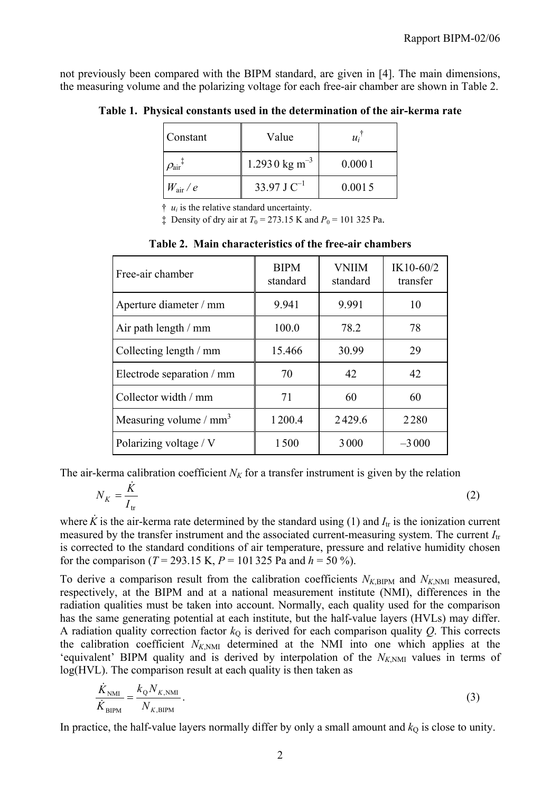not previously been compared with the BIPM standard, are given in [4]. The main dimensions, the measuring volume and the polarizing voltage for each free-air chamber are shown in Table 2.

| Constant                             | Value                     | $u_i$  |
|--------------------------------------|---------------------------|--------|
| $\mathcal{O}_{\rm air}$ <sup>+</sup> | 1.2930 kg m <sup>-3</sup> | 0.0001 |
| $W_{\rm air}$ / $e$                  | 33.97 J $C^{-1}$          | 0.0015 |

**Table 1. Physical constants used in the determination of the air-kerma rate**

 $\dagger u_i$  is the relative standard uncertainty.

 $\ddagger$  Density of dry air at  $T_0 = 273.15$  K and  $P_0 = 101$  325 Pa.

| Free-air chamber          | <b>BIPM</b><br>standard | <b>VNIIM</b><br>standard | IK10-60/2<br>transfer |
|---------------------------|-------------------------|--------------------------|-----------------------|
| Aperture diameter / mm    | 9.941                   | 9.991                    | 10                    |
| Air path length / mm      | 100.0                   | 78.2                     | 78                    |
| Collecting length / mm    | 15.466                  | 30.99                    | 29                    |
| Electrode separation / mm | 70                      | 42                       | 42                    |
| Collector width / mm      | 71                      | 60                       | 60                    |
| Measuring volume / $mm3$  | 1200.4                  | 2429.6                   | 2280                  |
| Polarizing voltage / V    | 1500                    | 3000                     | $-3000$               |

**Table 2. Main characteristics of the free-air chambers**

The air-kerma calibration coefficient  $N_K$  for a transfer instrument is given by the relation

$$
N_K = \frac{\dot{K}}{I_{\text{tr}}} \tag{2}
$$

where  $\hat{K}$  is the air-kerma rate determined by the standard using (1) and  $I_{tr}$  is the ionization current measured by the transfer instrument and the associated current-measuring system. The current *I*tr is corrected to the standard conditions of air temperature, pressure and relative humidity chosen for the comparison ( $T = 293.15$  K,  $P = 101325$  Pa and  $h = 50$ %).

To derive a comparison result from the calibration coefficients  $N_{K,BIPM}$  and  $N_{K,NM}$  measured, respectively, at the BIPM and at a national measurement institute (NMI), differences in the radiation qualities must be taken into account. Normally, each quality used for the comparison has the same generating potential at each institute, but the half-value layers (HVLs) may differ. A radiation quality correction factor  $k<sub>Q</sub>$  is derived for each comparison quality  $Q$ . This corrects the calibration coefficient  $N_{K,NM}$  determined at the NMI into one which applies at the 'equivalent' BIPM quality and is derived by interpolation of the  $N_{K>NM}$  values in terms of log(HVL). The comparison result at each quality is then taken as

$$
\frac{\dot{K}_{\text{NMI}}}{\dot{K}_{\text{BIPM}}} = \frac{k_{\text{Q}} N_{K,\text{NMM}}}{N_{K,\text{BIPM}}}.
$$
\n(3)

In practice, the half-value layers normally differ by only a small amount and  $k<sub>O</sub>$  is close to unity.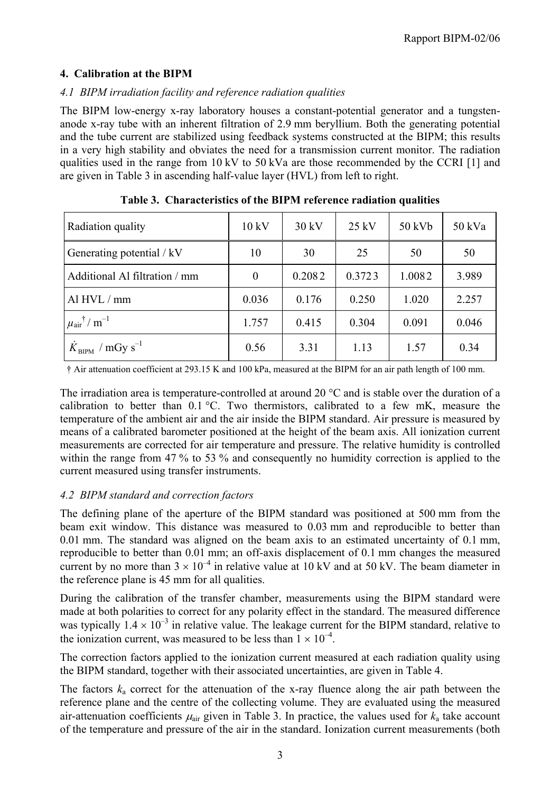### **4. Calibration at the BIPM**

## *4.1 BIPM irradiation facility and reference radiation qualities*

The BIPM low-energy x-ray laboratory houses a constant-potential generator and a tungstenanode x-ray tube with an inherent filtration of 2.9 mm beryllium. Both the generating potential and the tube current are stabilized using feedback systems constructed at the BIPM; this results in a very high stability and obviates the need for a transmission current monitor. The radiation qualities used in the range from 10 kV to 50 kVa are those recommended by the CCRI [1] and are given in Table 3 in ascending half-value layer (HVL) from left to right.

| Radiation quality                                 | 10 kV    | 30 kV  | $25$ kV | 50 kVb | 50 kVa |
|---------------------------------------------------|----------|--------|---------|--------|--------|
| Generating potential / kV                         | 10       | 30     | 25      | 50     | 50     |
| Additional Al filtration / mm                     | $\theta$ | 0.2082 | 0.3723  | 1.0082 | 3.989  |
| Al $HVL/mm$                                       | 0.036    | 0.176  | 0.250   | 1.020  | 2.257  |
| $\mu_{\text{air}}$ <sup>†</sup> / m <sup>-1</sup> | 1.757    | 0.415  | 0.304   | 0.091  | 0.046  |
| $K_{\text{BIPM}}$ / mGy s <sup>-1</sup>           | 0.56     | 3.31   | 1.13    | 1.57   | 0.34   |

|  |  |  | Table 3. Characteristics of the BIPM reference radiation qualities |  |
|--|--|--|--------------------------------------------------------------------|--|
|--|--|--|--------------------------------------------------------------------|--|

† Air attenuation coefficient at 293.15 K and 100 kPa, measured at the BIPM for an air path length of 100 mm.

The irradiation area is temperature-controlled at around 20  $\degree$ C and is stable over the duration of a calibration to better than 0.1 °C. Two thermistors, calibrated to a few mK, measure the temperature of the ambient air and the air inside the BIPM standard. Air pressure is measured by means of a calibrated barometer positioned at the height of the beam axis. All ionization current measurements are corrected for air temperature and pressure. The relative humidity is controlled within the range from 47 % to 53 % and consequently no humidity correction is applied to the current measured using transfer instruments.

### *4.2 BIPM standard and correction factors*

The defining plane of the aperture of the BIPM standard was positioned at 500 mm from the beam exit window. This distance was measured to 0.03 mm and reproducible to better than 0.01 mm. The standard was aligned on the beam axis to an estimated uncertainty of 0.1 mm, reproducible to better than 0.01 mm; an off-axis displacement of 0.1 mm changes the measured current by no more than  $3 \times 10^{-4}$  in relative value at 10 kV and at 50 kV. The beam diameter in the reference plane is 45 mm for all qualities.

During the calibration of the transfer chamber, measurements using the BIPM standard were made at both polarities to correct for any polarity effect in the standard. The measured difference was typically  $1.4 \times 10^{-3}$  in relative value. The leakage current for the BIPM standard, relative to the ionization current, was measured to be less than  $1 \times 10^{-4}$ .

The correction factors applied to the ionization current measured at each radiation quality using the BIPM standard, together with their associated uncertainties, are given in Table 4.

The factors  $k_a$  correct for the attenuation of the x-ray fluence along the air path between the reference plane and the centre of the collecting volume. They are evaluated using the measured air-attenuation coefficients  $\mu_{air}$  given in Table 3. In practice, the values used for  $k_a$  take account of the temperature and pressure of the air in the standard. Ionization current measurements (both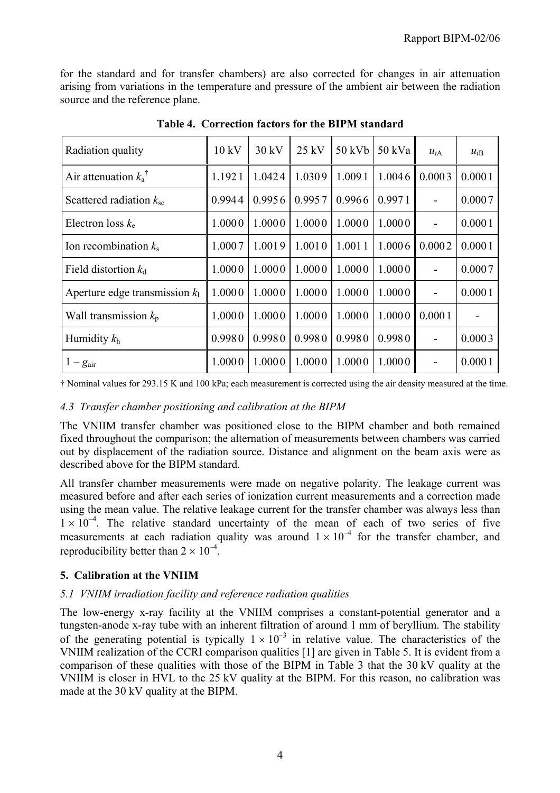for the standard and for transfer chambers) are also corrected for changes in air attenuation arising from variations in the temperature and pressure of the ambient air between the radiation source and the reference plane.

| Radiation quality                  | 10 kV  | 30 kV  | $25$ kV | 50 kVb | 50 kVa | $u_{iA}$       | $u_{iB}$ |
|------------------------------------|--------|--------|---------|--------|--------|----------------|----------|
| Air attenuation $k_a$ <sup>†</sup> | 1.1921 | 1.0424 | 1.0309  | 1.0091 | 1.0046 | 0.0003         | 0.0001   |
| Scattered radiation $k_{\rm sc}$   | 0.9944 | 0.9956 | 0.9957  | 0.9966 | 0.9971 |                | 0.0007   |
| Electron loss $k_e$                | 1.0000 | 1.0000 | 1.0000  | 1.0000 | 1.0000 |                | 0.0001   |
| Ion recombination $k_s$            | 1.0007 | 1.0019 | 1.0010  | 1.0011 | 1.0006 | 0.0002         | 0.0001   |
| Field distortion $k_d$             | 1.0000 | 1.0000 | 1.0000  | 1.0000 | 1.0000 |                | 0.0007   |
| Aperture edge transmission $k_1$   | 1.0000 | 1.0000 | 1.0000  | 1.0000 | 1.0000 | $\blacksquare$ | 0.0001   |
| Wall transmission $k_p$            | 1.0000 | 1.0000 | 1.0000  | 1.0000 | 1.0000 | 0.0001         |          |
| Humidity $k_h$                     | 0.9980 | 0.9980 | 0.9980  | 0.9980 | 0.9980 |                | 0.0003   |
| $1-g_{\text{air}}$                 | 1.0000 | 1.0000 | 1.0000  | 1.0000 | 1.0000 |                | 0.0001   |

**Table 4. Correction factors for the BIPM standard**

† Nominal values for 293.15 K and 100 kPa; each measurement is corrected using the air density measured at the time.

### *4.3 Transfer chamber positioning and calibration at the BIPM*

The VNIIM transfer chamber was positioned close to the BIPM chamber and both remained fixed throughout the comparison; the alternation of measurements between chambers was carried out by displacement of the radiation source. Distance and alignment on the beam axis were as described above for the BIPM standard.

All transfer chamber measurements were made on negative polarity. The leakage current was measured before and after each series of ionization current measurements and a correction made using the mean value. The relative leakage current for the transfer chamber was always less than  $1 \times 10^{-4}$ . The relative standard uncertainty of the mean of each of two series of five measurements at each radiation quality was around  $1 \times 10^{-4}$  for the transfer chamber, and reproducibility better than  $2 \times 10^{-4}$ .

### **5. Calibration at the VNIIM**

### *5.1 VNIIM irradiation facility and reference radiation qualities*

The low-energy x-ray facility at the VNIIM comprises a constant-potential generator and a tungsten-anode x-ray tube with an inherent filtration of around 1 mm of beryllium. The stability of the generating potential is typically  $1 \times 10^{-3}$  in relative value. The characteristics of the VNIIM realization of the CCRI comparison qualities [1] are given in Table 5. It is evident from a comparison of these qualities with those of the BIPM in Table 3 that the 30 kV quality at the VNIIM is closer in HVL to the 25 kV quality at the BIPM. For this reason, no calibration was made at the 30 kV quality at the BIPM.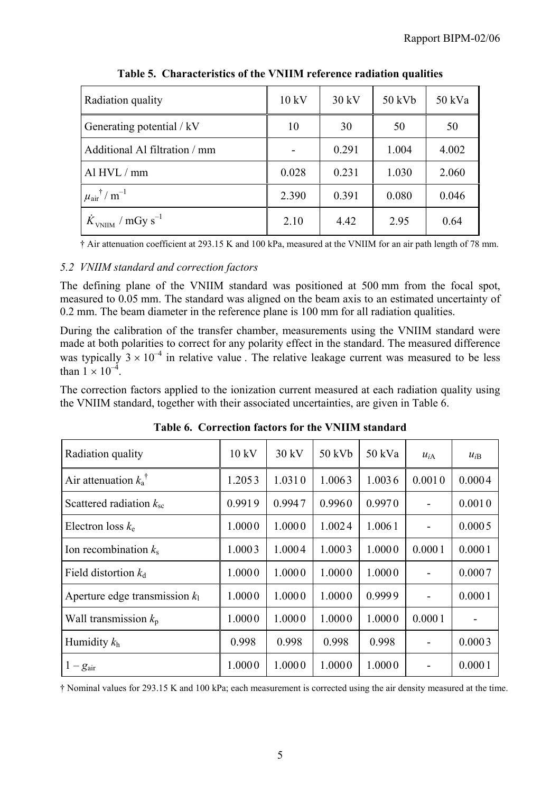| Radiation quality                              | 10 kV | 30 kV | 50 kVb | 50 kVa |
|------------------------------------------------|-------|-------|--------|--------|
| Generating potential / kV                      | 10    | 30    | 50     | 50     |
| Additional Al filtration / mm                  |       | 0.291 | 1.004  | 4.002  |
| Al HVL / mm                                    | 0.028 | 0.231 | 1.030  | 2.060  |
| $\mu_{\text{air}}$ † / m <sup>-1</sup>         | 2.390 | 0.391 | 0.080  | 0.046  |
| $\dot{K}_{\text{VNIIM}}$ / mGy s <sup>-1</sup> | 2.10  | 4.42  | 2.95   | 0.64   |

**Table 5. Characteristics of the VNIIM reference radiation qualities**

† Air attenuation coefficient at 293.15 K and 100 kPa, measured at the VNIIM for an air path length of 78 mm.

## *5.2 VNIIM standard and correction factors*

The defining plane of the VNIIM standard was positioned at 500 mm from the focal spot, measured to 0.05 mm. The standard was aligned on the beam axis to an estimated uncertainty of 0.2 mm. The beam diameter in the reference plane is 100 mm for all radiation qualities.

During the calibration of the transfer chamber, measurements using the VNIIM standard were made at both polarities to correct for any polarity effect in the standard. The measured difference was typically  $3 \times 10^{-4}$  in relative value. The relative leakage current was measured to be less than  $1 \times 10^{-4}$ .

The correction factors applied to the ionization current measured at each radiation quality using the VNIIM standard, together with their associated uncertainties, are given in Table 6.

| Radiation quality                | 10 kV  | 30 kV  | $50$ kVb | 50 kVa | $u_{iA}$ | $u_{iB}$ |
|----------------------------------|--------|--------|----------|--------|----------|----------|
| Air attenuation $k_a^{\dagger}$  | 1.2053 | 1.0310 | 1.0063   | 1.0036 | 0.0010   | 0.0004   |
| Scattered radiation $k_{\rm sc}$ | 0.9919 | 0.9947 | 0.9960   | 0.9970 |          | 0.0010   |
| Electron loss $k_e$              | 1.0000 | 1.0000 | 1.0024   | 1.0061 |          | 0.0005   |
| Ion recombination $k_s$          | 1.0003 | 1.0004 | 1.0003   | 1.0000 | 0.0001   | 0.0001   |
| Field distortion $k_d$           | 1.0000 | 1.0000 | 1.0000   | 1.0000 |          | 0.0007   |
| Aperture edge transmission $k_1$ | 1.0000 | 1.0000 | 1.0000   | 0.9999 |          | 0.0001   |
| Wall transmission $k_p$          | 1.0000 | 1.0000 | 1.0000   | 1.0000 | 0.0001   |          |
| Humidity $k_h$                   | 0.998  | 0.998  | 0.998    | 0.998  |          | 0.0003   |
| $1-g_{\text{air}}$               | 1.0000 | 1.0000 | 1.0000   | 1.0000 |          | 0.0001   |

**Table 6. Correction factors for the VNIIM standard**

† Nominal values for 293.15 K and 100 kPa; each measurement is corrected using the air density measured at the time.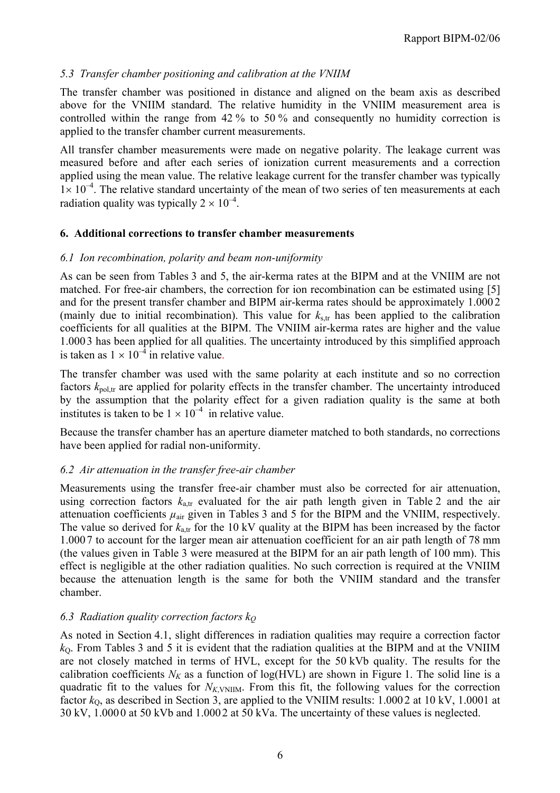### *5.3 Transfer chamber positioning and calibration at the VNIIM*

The transfer chamber was positioned in distance and aligned on the beam axis as described above for the VNIIM standard. The relative humidity in the VNIIM measurement area is controlled within the range from 42 % to 50 % and consequently no humidity correction is applied to the transfer chamber current measurements.

All transfer chamber measurements were made on negative polarity. The leakage current was measured before and after each series of ionization current measurements and a correction applied using the mean value. The relative leakage current for the transfer chamber was typically  $1 \times 10^{-4}$ . The relative standard uncertainty of the mean of two series of ten measurements at each radiation quality was typically  $2 \times 10^{-4}$ .

#### **6. Additional corrections to transfer chamber measurements**

#### *6.1 Ion recombination, polarity and beam non-uniformity*

As can be seen from Tables 3 and 5, the air-kerma rates at the BIPM and at the VNIIM are not matched. For free-air chambers, the correction for ion recombination can be estimated using [5] and for the present transfer chamber and BIPM air-kerma rates should be approximately 1.000 2 (mainly due to initial recombination). This value for  $k_{\text{str}}$  has been applied to the calibration coefficients for all qualities at the BIPM. The VNIIM air-kerma rates are higher and the value 1.000 3 has been applied for all qualities. The uncertainty introduced by this simplified approach is taken as  $1 \times 10^{-4}$  in relative value.

The transfer chamber was used with the same polarity at each institute and so no correction factors  $k_{\text{pol,tr}}$  are applied for polarity effects in the transfer chamber. The uncertainty introduced by the assumption that the polarity effect for a given radiation quality is the same at both institutes is taken to be  $1 \times 10^{-4}$  in relative value.

Because the transfer chamber has an aperture diameter matched to both standards, no corrections have been applied for radial non-uniformity.

#### *6.2 Air attenuation in the transfer free-air chamber*

Measurements using the transfer free-air chamber must also be corrected for air attenuation, using correction factors  $k_{a,tr}$  evaluated for the air path length given in Table 2 and the air attenuation coefficients  $\mu_{air}$  given in Tables 3 and 5 for the BIPM and the VNIIM, respectively. The value so derived for  $k_{\text{atr}}$  for the 10 kV quality at the BIPM has been increased by the factor 1.000 7 to account for the larger mean air attenuation coefficient for an air path length of 78 mm (the values given in Table 3 were measured at the BIPM for an air path length of 100 mm). This effect is negligible at the other radiation qualities. No such correction is required at the VNIIM because the attenuation length is the same for both the VNIIM standard and the transfer chamber.

#### *6.3 Radiation quality correction factors kQ*

As noted in Section 4.1, slight differences in radiation qualities may require a correction factor  $k<sub>0</sub>$ . From Tables 3 and 5 it is evident that the radiation qualities at the BIPM and at the VNIIM are not closely matched in terms of HVL, except for the 50 kVb quality. The results for the calibration coefficients  $N_K$  as a function of log(HVL) are shown in Figure 1. The solid line is a quadratic fit to the values for  $N_{K, V}N_{\text{I}}N_{\text{II}}$ . From this fit, the following values for the correction factor  $k_0$ , as described in Section 3, are applied to the VNIIM results:  $1.0002$  at  $10 \text{ kV}$ ,  $1.0001$  at 30 kV, 1.000 0 at 50 kVb and 1.000 2 at 50 kVa. The uncertainty of these values is neglected.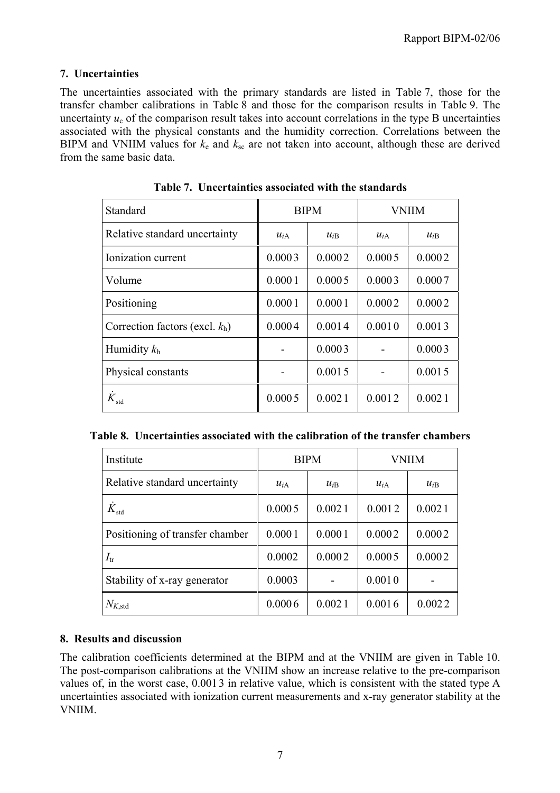### **7. Uncertainties**

The uncertainties associated with the primary standards are listed in Table 7, those for the transfer chamber calibrations in Table 8 and those for the comparison results in Table 9. The uncertainty  $u_c$  of the comparison result takes into account correlations in the type B uncertainties associated with the physical constants and the humidity correction. Correlations between the BIPM and VNIIM values for  $k_e$  and  $k_{sc}$  are not taken into account, although these are derived from the same basic data.

| Standard                          |          | <b>BIPM</b> | <b>VNIIM</b> |          |  |
|-----------------------------------|----------|-------------|--------------|----------|--|
| Relative standard uncertainty     | $u_{iA}$ | $u_{iB}$    | $u_{iA}$     | $u_{iB}$ |  |
| Ionization current                | 0.0003   | 0.0002      | 0.0005       | 0.0002   |  |
| Volume                            | 0.0001   | 0.0005      | 0.0003       | 0.0007   |  |
| Positioning                       | 0.0001   | 0.0001      | 0.0002       | 0.0002   |  |
| Correction factors (excl. $k_h$ ) | 0.0004   | 0.0014      | 0.0010       | 0.0013   |  |
| Humidity $k_h$                    |          | 0.0003      |              | 0.0003   |  |
| Physical constants                |          | 0.0015      |              | 0.0015   |  |
| $K_{std}$                         | 0.0005   | 0.0021      | 0.0012       | 0.0021   |  |

**Table 7. Uncertainties associated with the standards**

| Institute                       | <b>BIPM</b>          |        | VNIIM    |          |  |
|---------------------------------|----------------------|--------|----------|----------|--|
| Relative standard uncertainty   | $u_{iB}$<br>$u_{iA}$ |        | $u_{iA}$ | $u_{iB}$ |  |
| $K_{\text{std}}$                | 0.0005               | 0.0021 | 0.0012   | 0.0021   |  |
| Positioning of transfer chamber | 0.0001               | 0.0001 | 0.0002   | 0.0002   |  |
| $I_{tr}$                        | 0.0002               | 0.0002 | 0.0005   | 0.0002   |  |
| Stability of x-ray generator    | 0.0003               |        | 0.0010   |          |  |
| $N_{K,\text{std}}$              | 0.0006               | 0.0021 | 0.0016   | 0.0022   |  |

### **8. Results and discussion**

The calibration coefficients determined at the BIPM and at the VNIIM are given in Table 10. The post-comparison calibrations at the VNIIM show an increase relative to the pre-comparison values of, in the worst case, 0.001 3 in relative value, which is consistent with the stated type A uncertainties associated with ionization current measurements and x-ray generator stability at the VNIIM.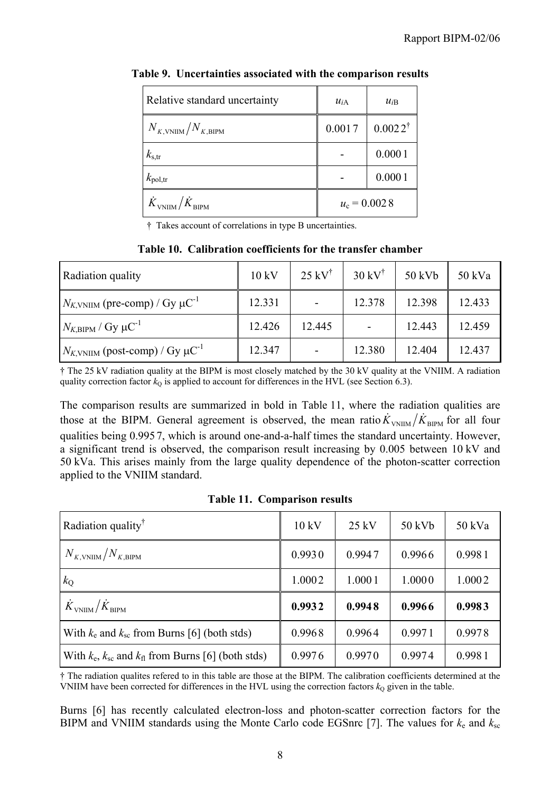| Relative standard uncertainty                  | $u_{iA}$ | $u_{iB}$           |
|------------------------------------------------|----------|--------------------|
| $N_{K,\text{VNHM}}/N_{K,\text{BIPM}}$          | 0.0017   | $0.0022^{\dagger}$ |
| $k_{\rm s,tr}$                                 |          | 0.0001             |
| $k_{\text{pol,tr}}$                            |          | 0.0001             |
| $\dot{K}_{\text{VNIIM}}/\dot{K}_{\text{BIPM}}$ |          | $u_c = 0.0028$     |

**Table 9. Uncertainties associated with the comparison results**

† Takes account of correlations in type B uncertainties.

**Table 10. Calibration coefficients for the transfer chamber**

| Radiation quality                                     | 10 kV  | $25$ kV <sup>†</sup>     | $30 \mathrm{kV}^{\dagger}$   | 50 kVb | 50 kVa |
|-------------------------------------------------------|--------|--------------------------|------------------------------|--------|--------|
| $N_{K, VNIIM}$ (pre-comp) / Gy $\mu$ C <sup>-1</sup>  | 12.331 | $\overline{\phantom{a}}$ | 12.378                       | 12.398 | 12.433 |
| $N_{K,\text{BIPM}}$ / Gy $\mu\text{C}^{-1}$           | 12.426 | 12.445                   | $\qquad \qquad \blacksquare$ | 12.443 | 12.459 |
| $N_{K, VNIIM}$ (post-comp) / Gy $\mu$ C <sup>-1</sup> | 12.347 |                          | 12.380                       | 12.404 | 12.437 |

† The 25 kV radiation quality at the BIPM is most closely matched by the 30 kV quality at the VNIIM. A radiation quality correction factor  $k_0$  is applied to account for differences in the HVL (see Section 6.3).

The comparison results are summarized in bold in Table 11, where the radiation qualities are those at the BIPM. General agreement is observed, the mean ratio  $K_{VNIIM}/K_{BIPM}$  for all four qualities being 0.995 7, which is around one-and-a-half times the standard uncertainty. However, a significant trend is observed, the comparison result increasing by 0.005 between 10 kV and 50 kVa. This arises mainly from the large quality dependence of the photon-scatter correction applied to the VNIIM standard.

|  | <b>Table 11. Comparison results</b> |  |
|--|-------------------------------------|--|
|--|-------------------------------------|--|

| Radiation quality <sup>†</sup>                                | 10 kV  | $25 \text{ kV}$ | $50$ kVb | 50 kVa |
|---------------------------------------------------------------|--------|-----------------|----------|--------|
| $N_{K,\mathrm{VNHM}}/N_{K,\mathrm{BIPM}}$                     | 0.9930 | 0.9947          | 0.9966   | 0.9981 |
| $k_{\rm Q}$                                                   | 1.0002 | 1.0001          | 1.0000   | 1.0002 |
| $\dot{K}_{\text{VNIIM}}/\dot{K}_{\text{BIPM}}$                | 0.9932 | 0.9948          | 0.9966   | 0.9983 |
| With $k_e$ and $k_{sc}$ from Burns [6] (both stds)            | 0.9968 | 0.9964          | 0.9971   | 0.9978 |
| With $k_e$ , $k_{sc}$ and $k_{fl}$ from Burns [6] (both stds) | 0.9976 | 0.9970          | 0.9974   | 0.9981 |

† The radiation qualites refered to in this table are those at the BIPM. The calibration coefficients determined at the VNIIM have been corrected for differences in the HVL using the correction factors  $k<sub>Q</sub>$  given in the table.

Burns [6] has recently calculated electron-loss and photon-scatter correction factors for the BIPM and VNIIM standards using the Monte Carlo code EGSnrc [7]. The values for  $k_e$  and  $k_{sc}$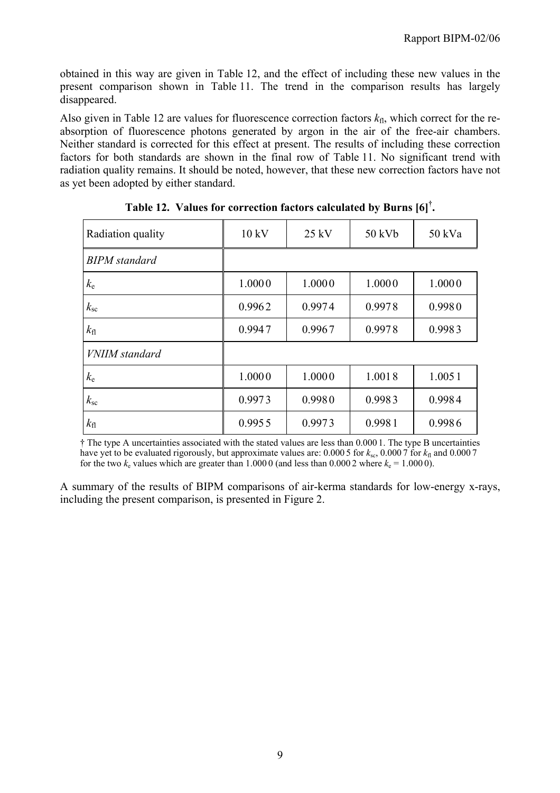obtained in this way are given in Table 12, and the effect of including these new values in the present comparison shown in Table 11. The trend in the comparison results has largely disappeared.

Also given in Table 12 are values for fluorescence correction factors  $k_{\text{fl}}$ , which correct for the reabsorption of fluorescence photons generated by argon in the air of the free-air chambers. Neither standard is corrected for this effect at present. The results of including these correction factors for both standards are shown in the final row of Table 11. No significant trend with radiation quality remains. It should be noted, however, that these new correction factors have not as yet been adopted by either standard.

| Radiation quality    | 10 kV  | $25$ kV | 50 kVb | 50 kVa |
|----------------------|--------|---------|--------|--------|
| <b>BIPM</b> standard |        |         |        |        |
| $k_{\rm e}$          | 1.0000 | 1.0000  | 1.0000 | 1.0000 |
| $k_{\rm sc}$         | 0.9962 | 0.9974  | 0.9978 | 0.9980 |
| $k_{\rm fl}$         | 0.9947 | 0.9967  | 0.9978 | 0.9983 |
| VNIIM standard       |        |         |        |        |
| $k_{\rm e}$          | 1.0000 | 1.0000  | 1.0018 | 1.0051 |
| $k_{\rm sc}$         | 0.9973 | 0.9980  | 0.9983 | 0.9984 |
| $k_{\rm fl}$         | 0.9955 | 0.9973  | 0.9981 | 0.9986 |

**Table 12. Values for correction factors calculated by Burns [6]† .**

† The type A uncertainties associated with the stated values are less than 0.000 1. The type B uncertainties have yet to be evaluated rigorously, but approximate values are: 0.000 5 for  $k_{\rm sc}$ , 0.000 7 for  $k_{\rm fl}$  and 0.000 7 for the two  $k_e$  values which are greater than 1.000 0 (and less than 0.000 2 where  $k_e = 1.0000$ ).

A summary of the results of BIPM comparisons of air-kerma standards for low-energy x-rays, including the present comparison, is presented in Figure 2.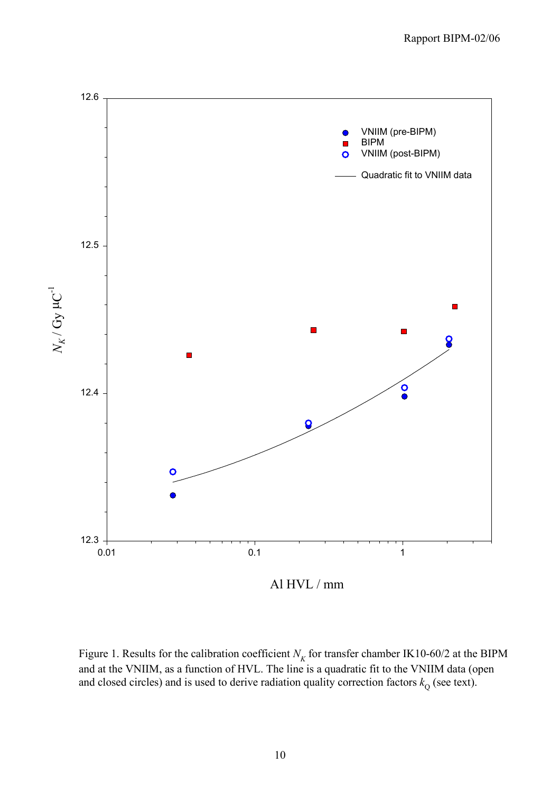

Figure 1. Results for the calibration coefficient  $N_K$  for transfer chamber IK10-60/2 at the BIPM and at the VNIIM, as a function of HVL. The line is a quadratic fit to the VNIIM data (open and closed circles) and is used to derive radiation quality correction factors  $k_{\text{Q}}$  (see text).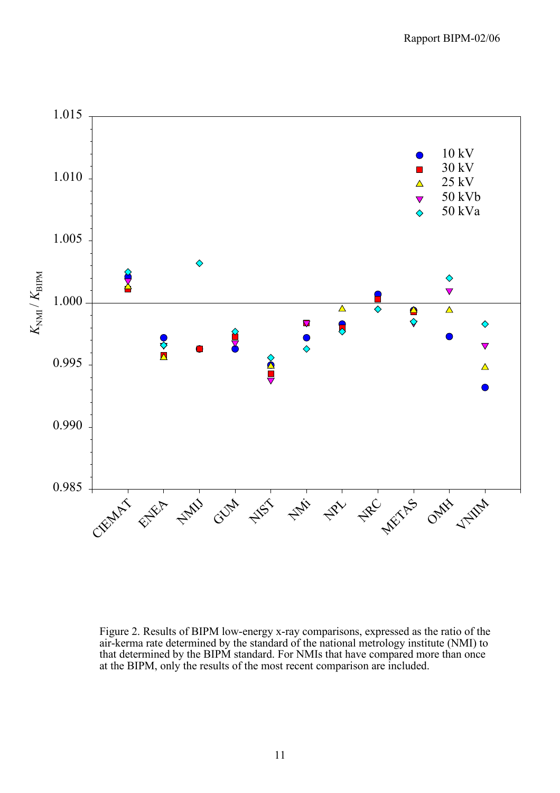

Figure 2. Results of BIPM low-energy x-ray comparisons, expressed as the ratio of the air-kerma rate determined by the standard of the national metrology institute (NMI) to that determined by the BIPM standard. For NMIs that have compared more than once at the BIPM, only the results of the most recent comparison are included.